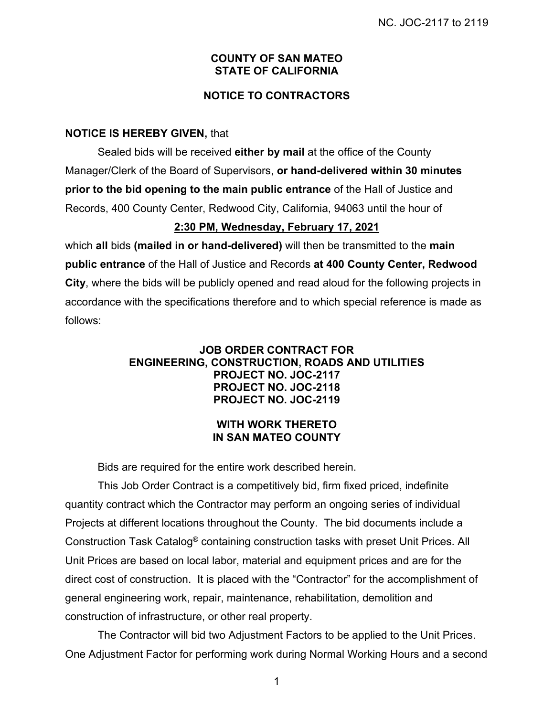### **COUNTY OF SAN MATEO STATE OF CALIFORNIA**

## **NOTICE TO CONTRACTORS**

### **NOTICE IS HEREBY GIVEN,** that

Sealed bids will be received **either by mail** at the office of the County Manager/Clerk of the Board of Supervisors, **or hand-delivered within 30 minutes prior to the bid opening to the main public entrance** of the Hall of Justice and Records, 400 County Center, Redwood City, California, 94063 until the hour of

### **2:30 PM, Wednesday, February 17, 2021**

which **all** bids **(mailed in or hand-delivered)** will then be transmitted to the **main public entrance** of the Hall of Justice and Records **at 400 County Center, Redwood City**, where the bids will be publicly opened and read aloud for the following projects in accordance with the specifications therefore and to which special reference is made as follows:

#### **JOB ORDER CONTRACT FOR ENGINEERING, CONSTRUCTION, ROADS AND UTILITIES PROJECT NO. JOC-2117 PROJECT NO. JOC-2118 PROJECT NO. JOC-2119**

### **WITH WORK THERETO IN SAN MATEO COUNTY**

Bids are required for the entire work described herein.

This Job Order Contract is a competitively bid, firm fixed priced, indefinite quantity contract which the Contractor may perform an ongoing series of individual Projects at different locations throughout the County. The bid documents include a Construction Task Catalog® containing construction tasks with preset Unit Prices. All Unit Prices are based on local labor, material and equipment prices and are for the direct cost of construction. It is placed with the "Contractor" for the accomplishment of general engineering work, repair, maintenance, rehabilitation, demolition and construction of infrastructure, or other real property.

The Contractor will bid two Adjustment Factors to be applied to the Unit Prices. One Adjustment Factor for performing work during Normal Working Hours and a second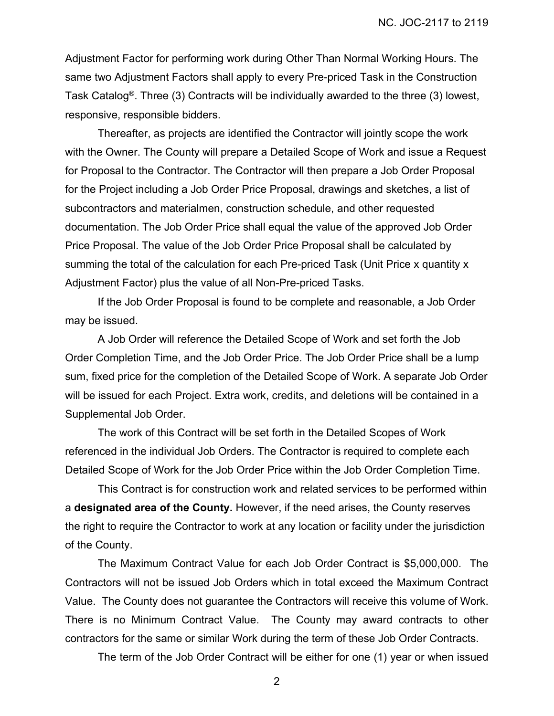Adjustment Factor for performing work during Other Than Normal Working Hours. The same two Adjustment Factors shall apply to every Pre-priced Task in the Construction Task Catalog®. Three (3) Contracts will be individually awarded to the three (3) lowest, responsive, responsible bidders.

Thereafter, as projects are identified the Contractor will jointly scope the work with the Owner. The County will prepare a Detailed Scope of Work and issue a Request for Proposal to the Contractor. The Contractor will then prepare a Job Order Proposal for the Project including a Job Order Price Proposal, drawings and sketches, a list of subcontractors and materialmen, construction schedule, and other requested documentation. The Job Order Price shall equal the value of the approved Job Order Price Proposal. The value of the Job Order Price Proposal shall be calculated by summing the total of the calculation for each Pre-priced Task (Unit Price x quantity x Adjustment Factor) plus the value of all Non-Pre-priced Tasks.

If the Job Order Proposal is found to be complete and reasonable, a Job Order may be issued.

A Job Order will reference the Detailed Scope of Work and set forth the Job Order Completion Time, and the Job Order Price. The Job Order Price shall be a lump sum, fixed price for the completion of the Detailed Scope of Work. A separate Job Order will be issued for each Project. Extra work, credits, and deletions will be contained in a Supplemental Job Order.

The work of this Contract will be set forth in the Detailed Scopes of Work referenced in the individual Job Orders. The Contractor is required to complete each Detailed Scope of Work for the Job Order Price within the Job Order Completion Time.

This Contract is for construction work and related services to be performed within a **designated area of the County.** However, if the need arises, the County reserves the right to require the Contractor to work at any location or facility under the jurisdiction of the County.

The Maximum Contract Value for each Job Order Contract is \$5,000,000. The Contractors will not be issued Job Orders which in total exceed the Maximum Contract Value. The County does not guarantee the Contractors will receive this volume of Work. There is no Minimum Contract Value. The County may award contracts to other contractors for the same or similar Work during the term of these Job Order Contracts.

The term of the Job Order Contract will be either for one (1) year or when issued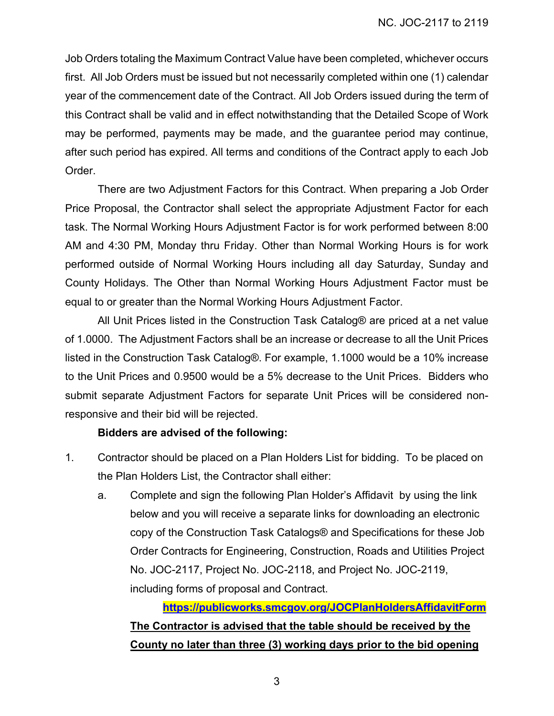Job Orders totaling the Maximum Contract Value have been completed, whichever occurs first. All Job Orders must be issued but not necessarily completed within one (1) calendar year of the commencement date of the Contract. All Job Orders issued during the term of this Contract shall be valid and in effect notwithstanding that the Detailed Scope of Work may be performed, payments may be made, and the guarantee period may continue, after such period has expired. All terms and conditions of the Contract apply to each Job Order.

There are two Adjustment Factors for this Contract. When preparing a Job Order Price Proposal, the Contractor shall select the appropriate Adjustment Factor for each task. The Normal Working Hours Adjustment Factor is for work performed between 8:00 AM and 4:30 PM, Monday thru Friday. Other than Normal Working Hours is for work performed outside of Normal Working Hours including all day Saturday, Sunday and County Holidays. The Other than Normal Working Hours Adjustment Factor must be equal to or greater than the Normal Working Hours Adjustment Factor.

All Unit Prices listed in the Construction Task Catalog® are priced at a net value of 1.0000. The Adjustment Factors shall be an increase or decrease to all the Unit Prices listed in the Construction Task Catalog®. For example, 1.1000 would be a 10% increase to the Unit Prices and 0.9500 would be a 5% decrease to the Unit Prices. Bidders who submit separate Adjustment Factors for separate Unit Prices will be considered nonresponsive and their bid will be rejected.

### **Bidders are advised of the following:**

- 1. Contractor should be placed on a Plan Holders List for bidding. To be placed on the Plan Holders List, the Contractor shall either:
	- a. Complete and sign the following Plan Holder's Affidavit by using the link below and you will receive a separate links for downloading an electronic copy of the Construction Task Catalogs® and Specifications for these Job Order Contracts for Engineering, Construction, Roads and Utilities Project No. JOC-2117, Project No. JOC-2118, and Project No. JOC-2119, including forms of proposal and Contract.

**https://publicworks.smcgov.org/JOCPlanHoldersAffidavitForm The Contractor is advised that the table should be received by the County no later than three (3) working days prior to the bid opening**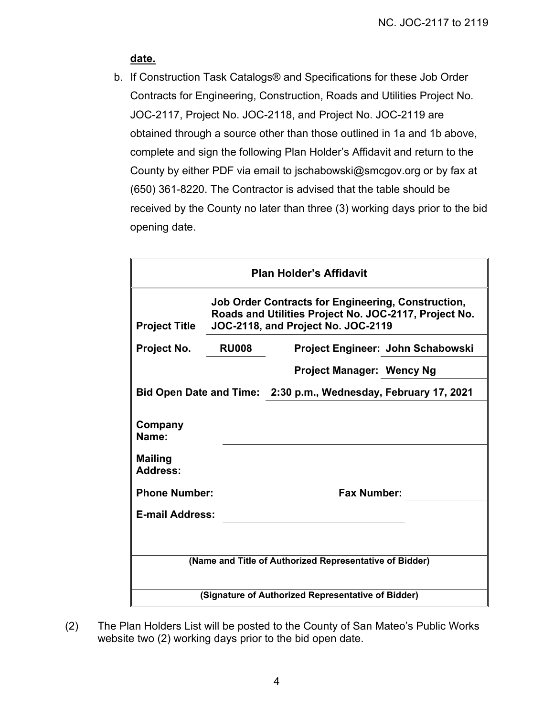# **date.**

b. If Construction Task Catalogs® and Specifications for these Job Order Contracts for Engineering, Construction, Roads and Utilities Project No. JOC-2117, Project No. JOC-2118, and Project No. JOC-2119 are obtained through a source other than those outlined in 1a and 1b above, complete and sign the following Plan Holder's Affidavit and return to the County by either PDF via email to jschabowski@smcgov.org or by fax at (650) 361-8220. The Contractor is advised that the table should be received by the County no later than three (3) working days prior to the bid opening date.

| <b>Plan Holder's Affidavit</b>                                  |                                                                                                                                                          |                                   |  |
|-----------------------------------------------------------------|----------------------------------------------------------------------------------------------------------------------------------------------------------|-----------------------------------|--|
| <b>Project Title</b>                                            | <b>Job Order Contracts for Engineering, Construction,</b><br>Roads and Utilities Project No. JOC-2117, Project No.<br>JOC-2118, and Project No. JOC-2119 |                                   |  |
| Project No.                                                     | <b>RU008</b>                                                                                                                                             | Project Engineer: John Schabowski |  |
|                                                                 |                                                                                                                                                          | <b>Project Manager: Wency Ng</b>  |  |
| Bid Open Date and Time: 2:30 p.m., Wednesday, February 17, 2021 |                                                                                                                                                          |                                   |  |
| Company<br>Name:<br><b>Mailing</b><br><b>Address:</b>           |                                                                                                                                                          |                                   |  |
| <b>Phone Number:</b>                                            |                                                                                                                                                          | <b>Fax Number:</b>                |  |
| <b>E-mail Address:</b>                                          |                                                                                                                                                          |                                   |  |
|                                                                 |                                                                                                                                                          |                                   |  |
| (Name and Title of Authorized Representative of Bidder)         |                                                                                                                                                          |                                   |  |
| (Signature of Authorized Representative of Bidder)              |                                                                                                                                                          |                                   |  |

(2) The Plan Holders List will be posted to the County of San Mateo's Public Works website two (2) working days prior to the bid open date.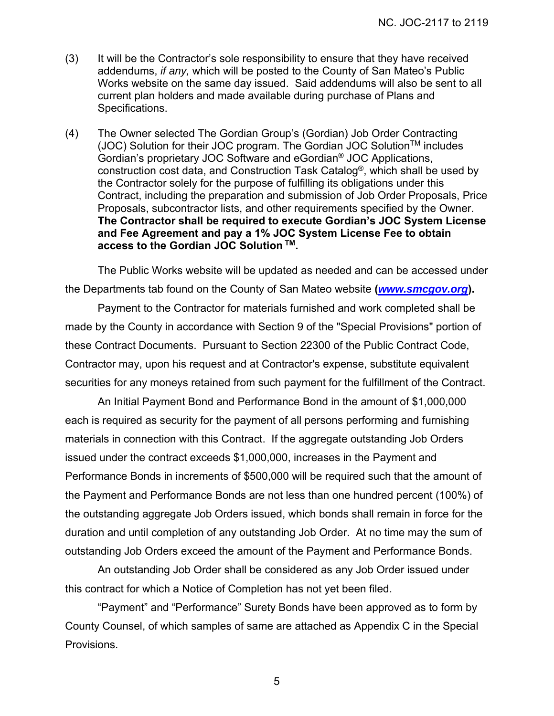- (3) It will be the Contractor's sole responsibility to ensure that they have received addendums, *if any,* which will be posted to the County of San Mateo's Public Works website on the same day issued. Said addendums will also be sent to all current plan holders and made available during purchase of Plans and Specifications.
- (4) The Owner selected The Gordian Group's (Gordian) Job Order Contracting (JOC) Solution for their JOC program. The Gordian JOC Solution<sup>™</sup> includes Gordian's proprietary JOC Software and eGordian® JOC Applications, construction cost data, and Construction Task Catalog®, which shall be used by the Contractor solely for the purpose of fulfilling its obligations under this Contract, including the preparation and submission of Job Order Proposals, Price Proposals, subcontractor lists, and other requirements specified by the Owner. **The Contractor shall be required to execute Gordian's JOC System License and Fee Agreement and pay a 1% JOC System License Fee to obtain access to the Gordian JOC Solution TM.**

The Public Works website will be updated as needed and can be accessed under the Departments tab found on the County of San Mateo website **(***www.smcgov.org***).** 

Payment to the Contractor for materials furnished and work completed shall be made by the County in accordance with Section 9 of the "Special Provisions" portion of these Contract Documents. Pursuant to Section 22300 of the Public Contract Code, Contractor may, upon his request and at Contractor's expense, substitute equivalent securities for any moneys retained from such payment for the fulfillment of the Contract.

An Initial Payment Bond and Performance Bond in the amount of \$1,000,000 each is required as security for the payment of all persons performing and furnishing materials in connection with this Contract. If the aggregate outstanding Job Orders issued under the contract exceeds \$1,000,000, increases in the Payment and Performance Bonds in increments of \$500,000 will be required such that the amount of the Payment and Performance Bonds are not less than one hundred percent (100%) of the outstanding aggregate Job Orders issued, which bonds shall remain in force for the duration and until completion of any outstanding Job Order. At no time may the sum of outstanding Job Orders exceed the amount of the Payment and Performance Bonds.

An outstanding Job Order shall be considered as any Job Order issued under this contract for which a Notice of Completion has not yet been filed.

"Payment" and "Performance" Surety Bonds have been approved as to form by County Counsel, of which samples of same are attached as Appendix C in the Special Provisions.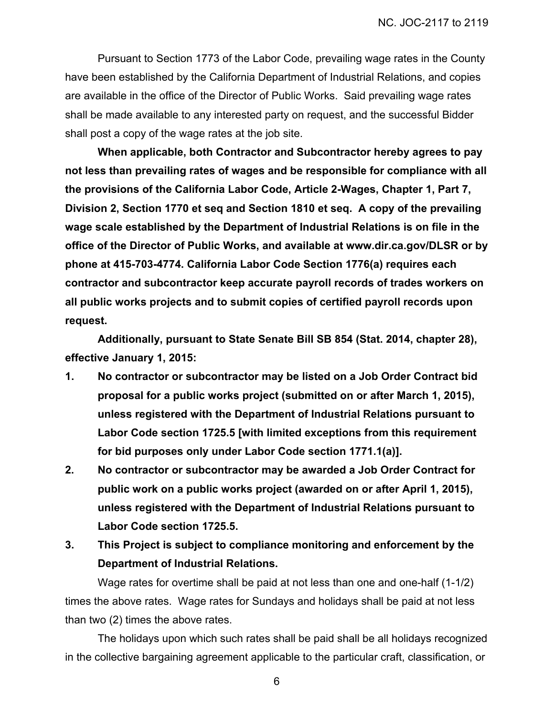Pursuant to Section 1773 of the Labor Code, prevailing wage rates in the County have been established by the California Department of Industrial Relations, and copies are available in the office of the Director of Public Works. Said prevailing wage rates shall be made available to any interested party on request, and the successful Bidder shall post a copy of the wage rates at the job site.

**When applicable, both Contractor and Subcontractor hereby agrees to pay not less than prevailing rates of wages and be responsible for compliance with all the provisions of the California Labor Code, Article 2-Wages, Chapter 1, Part 7, Division 2, Section 1770 et seq and Section 1810 et seq. A copy of the prevailing wage scale established by the Department of Industrial Relations is on file in the office of the Director of Public Works, and available at www.dir.ca.gov/DLSR or by phone at 415-703-4774. California Labor Code Section 1776(a) requires each contractor and subcontractor keep accurate payroll records of trades workers on all public works projects and to submit copies of certified payroll records upon request.** 

**Additionally, pursuant to State Senate Bill SB 854 (Stat. 2014, chapter 28), effective January 1, 2015:** 

- **1. No contractor or subcontractor may be listed on a Job Order Contract bid proposal for a public works project (submitted on or after March 1, 2015), unless registered with the Department of Industrial Relations pursuant to Labor Code section 1725.5 [with limited exceptions from this requirement for bid purposes only under Labor Code section 1771.1(a)].**
- **2. No contractor or subcontractor may be awarded a Job Order Contract for public work on a public works project (awarded on or after April 1, 2015), unless registered with the Department of Industrial Relations pursuant to Labor Code section 1725.5.**
- **3. This Project is subject to compliance monitoring and enforcement by the Department of Industrial Relations.**

Wage rates for overtime shall be paid at not less than one and one-half (1-1/2) times the above rates. Wage rates for Sundays and holidays shall be paid at not less than two (2) times the above rates.

The holidays upon which such rates shall be paid shall be all holidays recognized in the collective bargaining agreement applicable to the particular craft, classification, or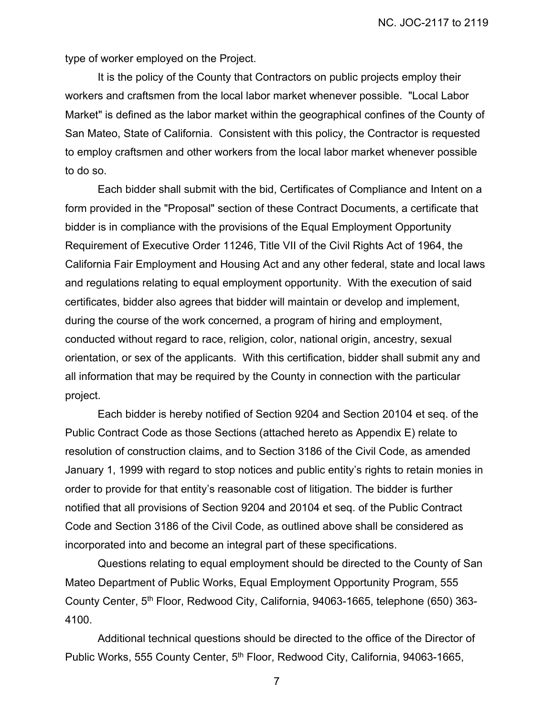type of worker employed on the Project.

It is the policy of the County that Contractors on public projects employ their workers and craftsmen from the local labor market whenever possible. "Local Labor Market" is defined as the labor market within the geographical confines of the County of San Mateo, State of California. Consistent with this policy, the Contractor is requested to employ craftsmen and other workers from the local labor market whenever possible to do so.

Each bidder shall submit with the bid, Certificates of Compliance and Intent on a form provided in the "Proposal" section of these Contract Documents, a certificate that bidder is in compliance with the provisions of the Equal Employment Opportunity Requirement of Executive Order 11246, Title VII of the Civil Rights Act of 1964, the California Fair Employment and Housing Act and any other federal, state and local laws and regulations relating to equal employment opportunity. With the execution of said certificates, bidder also agrees that bidder will maintain or develop and implement, during the course of the work concerned, a program of hiring and employment, conducted without regard to race, religion, color, national origin, ancestry, sexual orientation, or sex of the applicants. With this certification, bidder shall submit any and all information that may be required by the County in connection with the particular project.

Each bidder is hereby notified of Section 9204 and Section 20104 et seq. of the Public Contract Code as those Sections (attached hereto as Appendix E) relate to resolution of construction claims, and to Section 3186 of the Civil Code, as amended January 1, 1999 with regard to stop notices and public entity's rights to retain monies in order to provide for that entity's reasonable cost of litigation. The bidder is further notified that all provisions of Section 9204 and 20104 et seq. of the Public Contract Code and Section 3186 of the Civil Code, as outlined above shall be considered as incorporated into and become an integral part of these specifications.

Questions relating to equal employment should be directed to the County of San Mateo Department of Public Works, Equal Employment Opportunity Program, 555 County Center, 5<sup>th</sup> Floor, Redwood City, California, 94063-1665, telephone (650) 363-4100.

Additional technical questions should be directed to the office of the Director of Public Works, 555 County Center, 5<sup>th</sup> Floor, Redwood City, California, 94063-1665,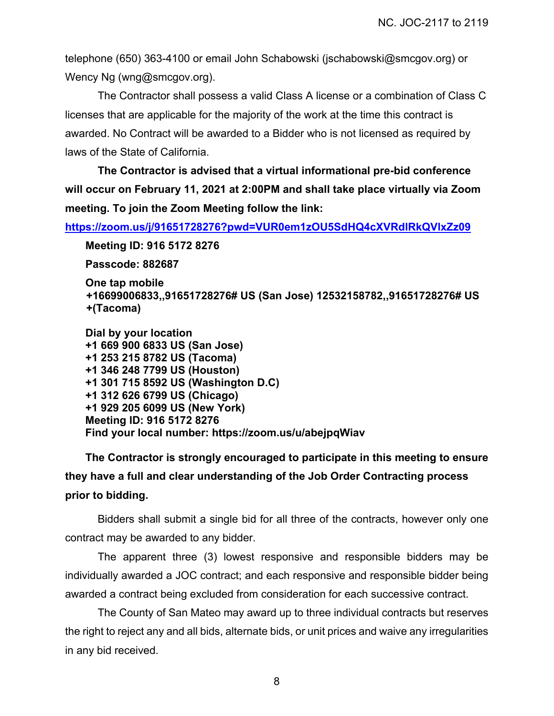NC. JOC-2117 to 2119

telephone (650) 363-4100 or email John Schabowski (jschabowski@smcgov.org) or Wency Ng (wng@smcgov.org).

 The Contractor shall possess a valid Class A license or a combination of Class C licenses that are applicable for the majority of the work at the time this contract is awarded. No Contract will be awarded to a Bidder who is not licensed as required by laws of the State of California.

**The Contractor is advised that a virtual informational pre-bid conference will occur on February 11, 2021 at 2:00PM and shall take place virtually via Zoom meeting. To join the Zoom Meeting follow the link:** 

**https://zoom.us/j/91651728276?pwd=VUR0em1zOU5SdHQ4cXVRdlRkQVlxZz09**

**Meeting ID: 916 5172 8276** 

**Passcode: 882687** 

```
One tap mobile 
+16699006833,,91651728276# US (San Jose) 12532158782,,91651728276# US 
+(Tacoma)
```
**Dial by your location +1 669 900 6833 US (San Jose) +1 253 215 8782 US (Tacoma) +1 346 248 7799 US (Houston) +1 301 715 8592 US (Washington D.C) +1 312 626 6799 US (Chicago) +1 929 205 6099 US (New York) Meeting ID: 916 5172 8276 Find your local number: https://zoom.us/u/abejpqWiav** 

**The Contractor is strongly encouraged to participate in this meeting to ensure they have a full and clear understanding of the Job Order Contracting process prior to bidding.** 

Bidders shall submit a single bid for all three of the contracts, however only one contract may be awarded to any bidder.

The apparent three (3) lowest responsive and responsible bidders may be individually awarded a JOC contract; and each responsive and responsible bidder being awarded a contract being excluded from consideration for each successive contract.

The County of San Mateo may award up to three individual contracts but reserves the right to reject any and all bids, alternate bids, or unit prices and waive any irregularities in any bid received.